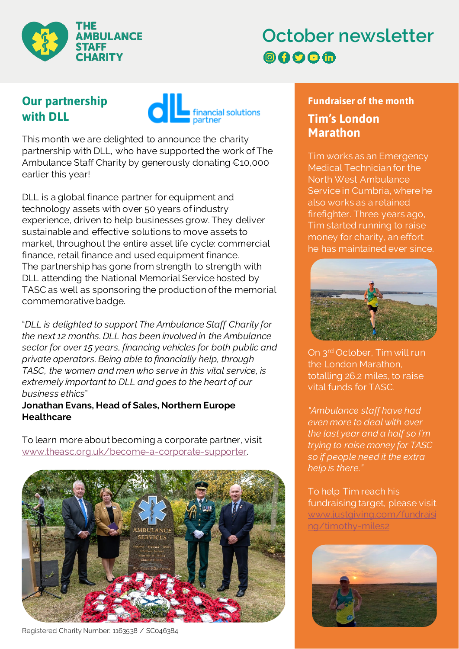

# **October newsletter 8000**

## **Our partnership with DLL**



This month we are delighted to announce the charity partnership with DLL, who have supported the work of The Ambulance Staff Charity by generously donating €10,000 earlier this year!

DLL is a global finance partner for equipment and technology assets with over 50 years of industry experience, driven to help businesses grow. They deliver sustainable and effective solutions to move assets to market, throughout the entire asset life cycle: commercial finance, retail finance and used equipment finance. The partnership has gone from strength to strength with DLL attending the National Memorial Service hosted by TASC as well as sponsoring the production of the memorial commemorative badge.

"*DLL is delighted to support The Ambulance Staff Charity for the next 12 months. DLL has been involved in the Ambulance sector for over 15 years, financing vehicles for both public and private operators. Being able to financially help, through TASC, the women and men who serve in this vital service, is extremely important to DLL and goes to the heart of our business ethics*"

#### **Jonathan Evans, Head of Sales, Northern Europe Healthcare**

To learn more about becoming a corporate partner, visit [www.theasc.org.uk/become-a-corporate-supporter](http://www.theasc.org.uk/become-a-corporate-supporter/).



Registered Charity Number: 1163538 / SC046384

#### **Fundraiser of the month Tim's London Marathon**

Tim works as an Emergency Medical Technician for the North West Ambulance Service in Cumbria, where he also works as a retained firefighter. Three years ago, Tim started running to raise money for charity, an effort he has maintained ever since.



On 3rd October, Tim will run the London Marathon, totalling 26.2 miles, to raise vital funds for TASC.

*"Ambulance staff have had even more to deal with over the last year and a half so I'm trying to raise money for TASC so if people need it the extra help is there."*

To help Tim reach his fundraising target, please visit [www.justgiving.com/fundraisi](http://www.justgiving.com/fundraising/timothy-miles2) [ng/timothy-miles2](http://www.justgiving.com/fundraising/timothy-miles2)